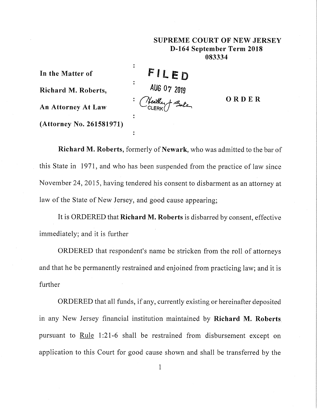## SUPREME COURT OF NEW JERSEY D-164 **September Term** 2018 083334

 $\ddot{\cdot}$ **In the Matter of**  $\ddot{\cdot}$ **Richard M. Roberts,** : An Attorney At **Law** : **(Attorney** No. 261581971)

**F LED** AUG 07 2019

**ORDER**

**Richard M. Roberts,** formerly of Newark, who was admitted to the bar of this State in 1971, and who has been suspended from the practice of law since November 24, 2015, having tendered his consent to disbarment as an attorney at law of the State of New Jersey, and good cause appearing;

It is ORDERED that Richard M. Roberts is disbarred by consent, effective immediately; and it is further

ORDERED that respondent's name be stricken from the roll of attorneys and that he be permanently restrained and enjoined from practicing law; and it is further

ORDERED that all funds, if any, currently existing or hereinafter deposited in any New Jersey financial institution maintained by Richard M. **Roberts** pursuant to Rule 1:21-6 shall be restrained from disbursement except on application to this Court for good cause shown and shall be transferred by the